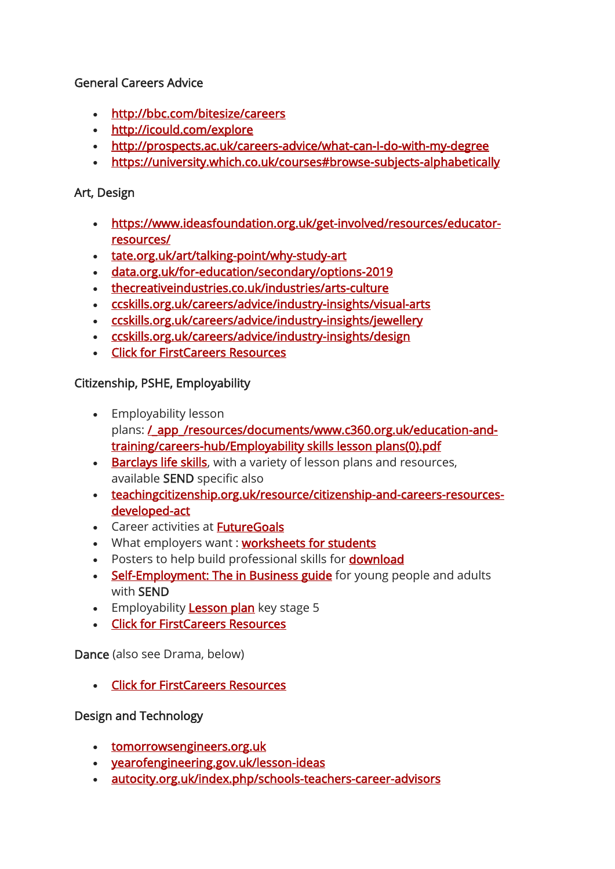### General Careers Advice

- <http://bbc.com/bitesize/careers>
- <http://icould.com/explore>
- <http://prospects.ac.uk/careers-advice/what-can-I-do-with-my-degree>
- <https://university.which.co.uk/courses#browse-subjects-alphabetically>

### Art, Design

- [https://www.ideasfoundation.org.uk/get-involved/resources/educator](https://www.ideasfoundation.org.uk/get-involved/resources/educator-resources/)[resources/](https://www.ideasfoundation.org.uk/get-involved/resources/educator-resources/)
- [tate.org.uk/art/talking-point/why-study-art](http://tate.org.uk/art/talking-point/why-study-art)
- [data.org.uk/for-education/secondary/options-2019](http://data.org.uk/for-education/secondary/options-2019)
- [thecreativeindustries.co.uk/industries/arts-culture](http://thecreativeindustries.co.uk/industries/arts-culture)
- [ccskills.org.uk/careers/advice/industry-insights/visual-arts](http://ccskills.org.uk/careers/advice/industry-insights/visual-arts)
- [ccskills.org.uk/careers/advice/industry-insights/jewellery](http://ccskills.org.uk/careers/advice/industry-insights/jewellery)
- [ccskills.org.uk/careers/advice/industry-insights/design](http://ccskills.org.uk/careers/advice/industry-insights/design)
- [Click for FirstCareers Resources](https://www.firstcareers.co.uk/subjects/art/)

# Citizenship, PSHE, Employability

- Employability lesson plans: *[/\\_app\\_/resources/documents/www.c360.org.uk/education-and](https://www.c360.org.uk/_app_/resources/documents/www.c360.org.uk/education-and-training/careers-hub/Employability%20skills%20lesson%20plans(0).pdf)*[training/careers-hub/Employability skills lesson plans\(0\).pdf](https://www.c360.org.uk/_app_/resources/documents/www.c360.org.uk/education-and-training/careers-hub/Employability%20skills%20lesson%20plans(0).pdf)
- [Barclays life skills,](http://barclayslifeskills.com/teachers) with a variety of lesson plans and resources, available SEND specific also
- [teachingcitizenship.org.uk/resource/citizenship-and-careers-resources](http://teachingcitizenship.org.uk/resource/citizenship-and-careers-resources-developed-act)[developed-act](http://teachingcitizenship.org.uk/resource/citizenship-and-careers-resources-developed-act)
- Career activities at **[FutureGoals](https://futuregoals.co.uk/learning-resources/)**
- What employers want : [worksheets for students](https://indigo.careers/wp-content/uploads/2019/04/Worksheet-What-Employers-Want.pdf)
- Posters to help build professional skills for **[download](https://www.youthemployment.org.uk/teachers-resources/free-careers-posters-for-schools/)**
- [Self-Employment: The in Business guide](https://www.mentalhealth.org.uk/learning-disabilities/our-work/employment-education/self-employment-business-programme) for young people and adults with SEND
- **Employability [Lesson plan](https://cdn2.hubspot.net/hubfs/5641916/Lesson%20Plan%20-%20Key%20Stage%205%20-%20Employability-1.pdf?utm_source=hs_email&utm_medium=email&utm_content=74115455&_hsenc=p2ANqtz-8BfKOlI0Mtne_2k0zw0Digg1DmiewwiaonYQS3UC8JE386xZEX73ESseDnecTWNJeDHChAOq3R7hU_jqp4EcEhaOtOHNFjNxBDfx8_wtI5fqNffOg&_hsmi=74115455) key stage 5**
- [Click for FirstCareers Resources](https://www.firstcareers.co.uk/subjects/pshe/)

Dance (also see Drama, below)

[Click for FirstCareers Resources](https://www.firstcareers.co.uk/subjects/dance/)

## Design and Technology

- [tomorrowsengineers.org.uk](http://tomorrowsengineers.org.uk/)
- [yearofengineering.gov.uk/lesson-ideas](http://yearofengineering.gov.uk/lesson-ideas)
- [autocity.org.uk/index.php/schools-teachers-career-advisors](http://autocity.org.uk/index.php/schools-teachers-career-advisors)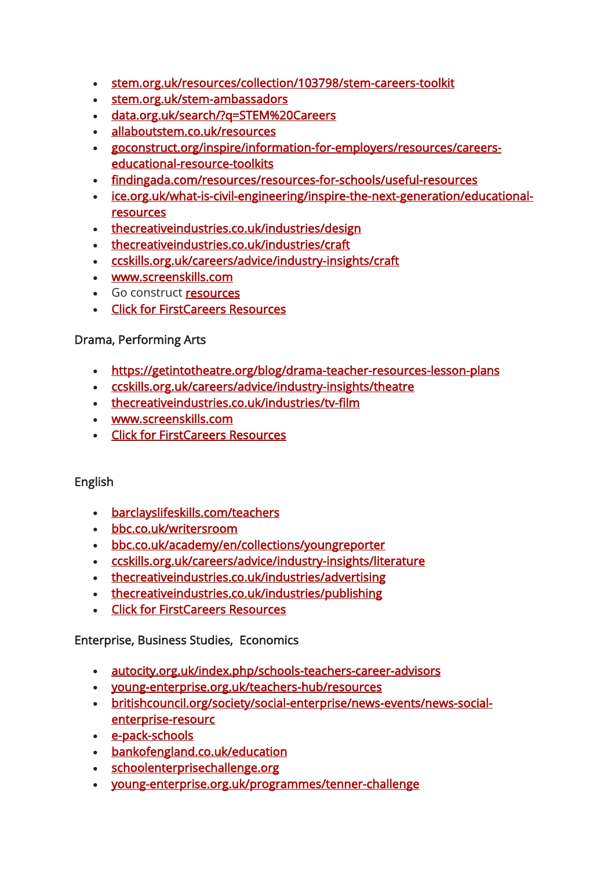- [stem.org.uk/resources/collection/103798/stem-careers-toolkit](http://stem.org.uk/resources/collection/103798/stem-careers-toolkit)
- [stem.org.uk/stem-ambassadors](http://stem.org.uk/stem-ambassadors)
- [data.org.uk/search/?q=STEM%20Careers](http://data.org.uk/search/?q=STEM%20Careers)
- [allaboutstem.co.uk/resources](http://allaboutstem.co.uk/resources)
- [goconstruct.org/inspire/information-for-employers/resources/careers](http://goconstruct.org/inspire/information-for-employers/resources/careers-educational-reso%20urce-toolkits)[educational-resource-toolkits](http://goconstruct.org/inspire/information-for-employers/resources/careers-educational-reso%20urce-toolkits)
- [findingada.com/resources/resources-for-schools/useful-resources](http://findingada.com/resources/resources-for-schools/useful-resources)
- [ice.org.uk/what-is-civil-engineering/inspire-the-next-generation/educational](http://ice.org.uk/what-is-civil-engineering/inspire-the-next-generation/educational-resources)[resources](http://ice.org.uk/what-is-civil-engineering/inspire-the-next-generation/educational-resources)
- [thecreativeindustries.co.uk/industries/design](http://thecreativeindustries.co.uk/industries/design)
- [thecreativeindustries.co.uk/industries/craft](http://thecreativeindustries.co.uk/industries/craft)
- [ccskills.org.uk/careers/advice/industry-insights/craft](http://ccskills.org.uk/careers/advice/industry-insights/craft)
- [www.screenskills.com](http://www.screenskills.com/)
- **Go construct [resources](https://www.goconstruct.org/inspire/information-for-employers/resources/careers-educational-resource-toolkits/careers-and-educational-activities/)**
- [Click for FirstCareers Resources](http://c/Users/henriettaS/Desktop/First%20Career%20Resources)

#### Drama, Performing Arts

- <https://getintotheatre.org/blog/drama-teacher-resources-lesson-plans>
- [ccskills.org.uk/careers/advice/industry-insights/theatre](http://ccskills.org.uk/careers/advice/industry-insights/theatre)
- [thecreativeindustries.co.uk/industries/tv-film](http://thecreativeindustries.co.uk/industries/tv-film)
- [www.screenskills.com](http://www.screenskills.com/)
- [Click for FirstCareers Resources](https://www.firstcareers.co.uk/subjects/drama/)

### English

- [barclayslifeskills.com/teachers](http://barclayslifeskills.com/teachers)
- [bbc.co.uk/writersroom](http://bbc.co.uk/writersroom)
- [bbc.co.uk/academy/en/collections/youngreporter](http://bbc.co.uk/academy/en/collections/youngreporter)
- [ccskills.org.uk/careers/advice/industry-insights/literature](http://ccskills.org.uk/careers/advice/industry-insights/literature)
- [thecreativeindustries.co.uk/industries/advertising](http://thecreativeindustries.co.uk/industries/advertising)
- [thecreativeindustries.co.uk/industries/publishing](http://thecreativeindustries.co.uk/industries/publishing)
- [Click for FirstCareers Resources](https://www.firstcareers.co.uk/subjects/english/)

Enterprise, Business Studies, Economics

- [autocity.org.uk/index.php/schools-teachers-career-advisors](http://autocity.org.uk/index.php/schools-teachers-career-advisors)
- [young-enterprise.org.uk/teachers-hub/resources](http://young-enterprise.org.uk/teachers-hub/resources)
- [britishcouncil.org/society/social-enterprise/news-events/news-social](http://britishcouncil.org/society/social-enterprise/news-events/news-social-enterprise-resourc%20e-pack-schools)[enterprise-resourc](http://britishcouncil.org/society/social-enterprise/news-events/news-social-enterprise-resourc%20e-pack-schools)
- [e-pack-schools](http://britishcouncil.org/society/social-enterprise/news-events/news-social-enterprise-resourc%20e-pack-schools)
- [bankofengland.co.uk/education](http://bankofengland.co.uk/education)
- [schoolenterprisechallenge.org](http://schoolenterprisechallenge.org/)
- [young-enterprise.org.uk/programmes/tenner-challenge](http://young-enterprise.org.uk/programmes/tenner-challenge)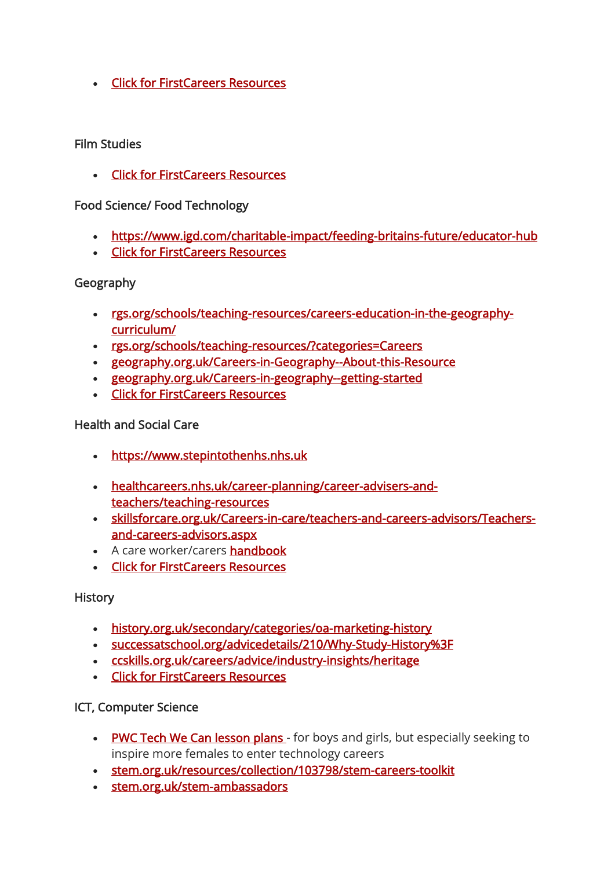[Click for FirstCareers Resources](https://www.firstcareers.co.uk/subjects/business/)

### Film Studies

[Click for FirstCareers Resources](https://www.firstcareers.co.uk/subjects/media-studies/)

Food Science/ Food Technology

- <https://www.igd.com/charitable-impact/feeding-britains-future/educator-hub>
- [Click for FirstCareers Resources](https://www.firstcareers.co.uk/subjects/food-technology/)

### Geography

- [rgs.org/schools/teaching-resources/careers-education-in-the-geography](http://rgs.org/schools/teaching-resources/careers-education-in-the-geography-curriculum/)[curriculum/](http://rgs.org/schools/teaching-resources/careers-education-in-the-geography-curriculum/)
- [rgs.org/schools/teaching-resources/?categories=Careers](http://rgs.org/schools/teaching-resources/?categories=Careers)
- [geography.org.uk/Careers-in-Geography--About-this-Resource](http://geography.org.uk/Careers-in-Geography--About-this-Resource)
- [geography.org.uk/Careers-in-geography--getting-started](http://geography.org.uk/Careers-in-geography--getting-started)
- [Click for FirstCareers Resources](https://www.firstcareers.co.uk/subjects/geography/)

### Health and Social Care

- [https://www.stepintothenhs.nhs.uk](https://www.stepintothenhs.nhs.uk/)
- [healthcareers.nhs.uk/career-planning/career-advisers-and](http://healthcareers.nhs.uk/career-planning/career-advisers-and-teachers/teaching-resources)[teachers/teaching-resources](http://healthcareers.nhs.uk/career-planning/career-advisers-and-teachers/teaching-resources)
- [skillsforcare.org.uk/Careers-in-care/teachers-and-careers-advisors/Teachers](http://skillsforcare.org.uk/Careers-in-care/teachers-and-careers-advisors/Teachers-and-care%20ers-advisors.aspx)[and-careers-advisors.aspx](http://skillsforcare.org.uk/Careers-in-care/teachers-and-careers-advisors/Teachers-and-care%20ers-advisors.aspx)
- A care worker/carers **[handbook](https://gallery.mailchimp.com/eaa1ba7d137a1651b42f8f6b2/files/7a06ded5-fd2d-4205-a081-1781711ae2df/183911_Care_Book_Final2_Lores.pdf)**
- [Click for FirstCareers Resources](https://www.firstcareers.co.uk/subjects/health-and-social-care/)

### **History**

- [history.org.uk/secondary/categories/oa-marketing-history](http://history.org.uk/secondary/categories/oa-marketing-history)
- [successatschool.org/advicedetails/210/Why-Study-History%3F](http://successatschool.org/advicedetails/210/Why-Study-History%3F)
- [ccskills.org.uk/careers/advice/industry-insights/heritage](http://ccskills.org.uk/careers/advice/industry-insights/heritage)
- [Click for FirstCareers Resources](https://www.firstcareers.co.uk/subjects/history/)

## ICT, Computer Science

- [PWC Tech We Can lesson plans -](https://techwecan.org/) for boys and girls, but especially seeking to inspire more females to enter technology careers
- [stem.org.uk/resources/collection/103798/stem-careers-toolkit](http://stem.org.uk/resources/collection/103798/stem-careers-toolkit)
- [stem.org.uk/stem-ambassadors](http://stem.org.uk/stem-ambassadors)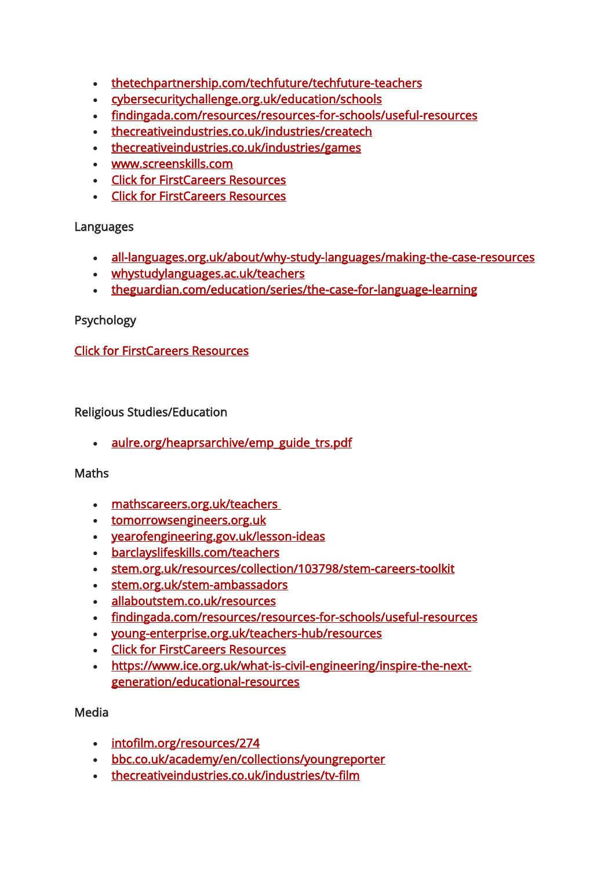- [thetechpartnership.com/techfuture/techfuture-teachers](http://thetechpartnership.com/techfuture/techfuture-teachers)
- [cybersecuritychallenge.org.uk/education/schools](http://cybersecuritychallenge.org.uk/education/schools)
- [findingada.com/resources/resources-for-schools/useful-resources](http://findingada.com/resources/resources-for-schools/useful-resources)
- [thecreativeindustries.co.uk/industries/createch](http://thecreativeindustries.co.uk/industries/createch)
- [thecreativeindustries.co.uk/industries/games](http://thecreativeindustries.co.uk/industries/games)
- [www.screenskills.com](http://www.screenskills.com/)
- [Click for FirstCareers Resources](https://www.firstcareers.co.uk/subjects/computer-coding/)
- [Click for FirstCareers Resources](https://www.firstcareers.co.uk/subjects/computer-coding/)

### Languages

- [all-languages.org.uk/about/why-study-languages/making-the-case-resources](http://all-languages.org.uk/about/why-study-languages/making-the-case-resources)
- [whystudylanguages.ac.uk/teachers](http://whystudylanguages.ac.uk/teachers)
- [theguardian.com/education/series/the-case-for-language-learning](http://theguardian.com/education/series/the-case-for-language-learning)

### Psychology

### [Click for FirstCareers Resources](https://www.firstcareers.co.uk/subjects/psychology/)

### Religious Studies/Education

• [aulre.org/heaprsarchive/emp\\_guide\\_trs.pdf](http://aulre.org/heaprsarchive/emp_guide_trs.pdf)

### **Maths**

- [mathscareers.org.uk/teachers](http://mathscareers.org.uk/teachers)
- [tomorrowsengineers.org.uk](http://tomorrowsengineers.org.uk/)
- [yearofengineering.gov.uk/lesson-ideas](http://yearofengineering.gov.uk/lesson-ideas)
- [barclayslifeskills.com/teachers](http://barclayslifeskills.com/teachers)
- [stem.org.uk/resources/collection/103798/stem-careers-toolkit](http://stem.org.uk/resources/collection/103798/stem-careers-toolkit)
- [stem.org.uk/stem-ambassadors](http://stem.org.uk/stem-ambassadors)
- [allaboutstem.co.uk/resources](http://allaboutstem.co.uk/resources)
- [findingada.com/resources/resources-for-schools/useful-resources](http://findingada.com/resources/resources-for-schools/useful-resources)
- [young-enterprise.org.uk/teachers-hub/resources](http://young-enterprise.org.uk/teachers-hub/resources)
- [Click for FirstCareers Resources](https://www.firstcareers.co.uk/subjects/maths/)
- [https://www.ice.org.uk/what-is-civil-engineering/inspire-the-next](https://www.ice.org.uk/what-is-civil-engineering/inspire-the-next-generation/educational-resources)[generation/educational-resources](https://www.ice.org.uk/what-is-civil-engineering/inspire-the-next-generation/educational-resources)

### Media

- [intofilm.org/resources/274](http://intofilm.org/resources/274)
- [bbc.co.uk/academy/en/collections/youngreporter](http://bbc.co.uk/academy/en/collections/youngreporter)
- [thecreativeindustries.co.uk/industries/tv-film](http://thecreativeindustries.co.uk/industries/tv-film)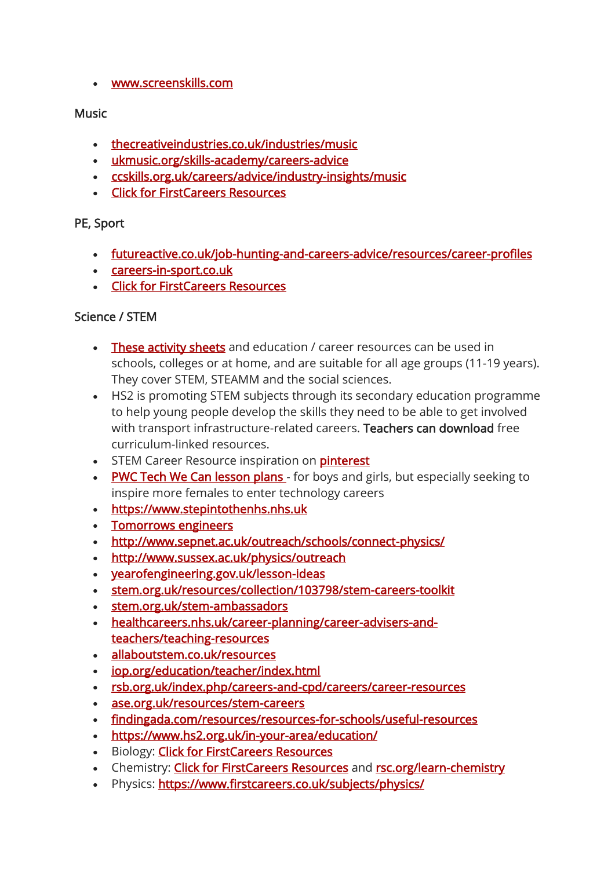[www.screenskills.com](http://www.screenskills.com/)

### **Music**

- [thecreativeindustries.co.uk/industries/music](http://thecreativeindustries.co.uk/industries/music)
- [ukmusic.org/skills-academy/careers-advice](http://ukmusic.org/skills-academy/careers-advice)
- [ccskills.org.uk/careers/advice/industry-insights/music](http://ccskills.org.uk/careers/advice/industry-insights/music)
- [Click for FirstCareers Resources](https://www.firstcareers.co.uk/subjects/music/)

### PE, Sport

- [futureactive.co.uk/job-hunting-and-careers-advice/resources/career-profiles](http://futureactive.co.uk/job-hunting-and-careers-advice/resources/career-profiles)
- [careers-in-sport.co.uk](http://careers-in-sport.co.uk/)
- [Click for FirstCareers Resources](https://www.firstcareers.co.uk/subjects/physical-education/)

### Science / STEM

- [These activity sheets](https://futurumcareers.com/resources) and education / career resources can be used in schools, colleges or at home, and are suitable for all age groups (11-19 years). They cover STEM, STEAMM and the social sciences.
- HS2 is promoting STEM subjects through its secondary education programme to help young people develop the skills they need to be able to get involved with transport infrastructure-related careers. Teachers can download free curriculum-linked resources.
- STEM Career Resource inspiration on **[pinterest](https://www.pinterest.co.uk/careersdefender/stem-career-resources/)**
- [PWC Tech We Can lesson plans -](https://techwecan.org/) for boys and girls, but especially seeking to inspire more females to enter technology careers
- [https://www.stepintothenhs.nhs.uk](https://www.stepintothenhs.nhs.uk/)
- [Tomorrows engineers](http://tomorrowsengineers.org.uk/)
- <http://www.sepnet.ac.uk/outreach/schools/connect-physics/>
- <http://www.sussex.ac.uk/physics/outreach>
- [yearofengineering.gov.uk/lesson-ideas](http://yearofengineering.gov.uk/lesson-ideas)
- [stem.org.uk/resources/collection/103798/stem-careers-toolkit](http://stem.org.uk/resources/collection/103798/stem-careers-toolkit)
- [stem.org.uk/stem-ambassadors](http://stem.org.uk/stem-ambassadors)
- [healthcareers.nhs.uk/career-planning/career-advisers-and](http://healthcareers.nhs.uk/career-planning/career-advisers-and-teachers/teaching-resources)[teachers/teaching-resources](http://healthcareers.nhs.uk/career-planning/career-advisers-and-teachers/teaching-resources)
- [allaboutstem.co.uk/resources](http://allaboutstem.co.uk/resources)
- [iop.org/education/teacher/index.html](http://iop.org/education/teacher/index.html)
- [rsb.org.uk/index.php/careers-and-cpd/careers/career-resources](http://rsb.org.uk/index.php/careers-and-cpd/careers/career-resources)
- [ase.org.uk/resources/stem-careers](http://ase.org.uk/resources/stem-careers)
- [findingada.com/resources/resources-for-schools/useful-resources](http://findingada.com/resources/resources-for-schools/useful-resources)
- <https://www.hs2.org.uk/in-your-area/education/>
- Biology: [Click for FirstCareers Resources](https://www.firstcareers.co.uk/subjects/biology/)
- Chemistry: [Click for FirstCareers Resources](https://www.firstcareers.co.uk/subjects/chemistry/) and [rsc.org/learn-chemistry](http://rsc.org/learn-chemistry)
- Physics: <https://www.firstcareers.co.uk/subjects/physics/>